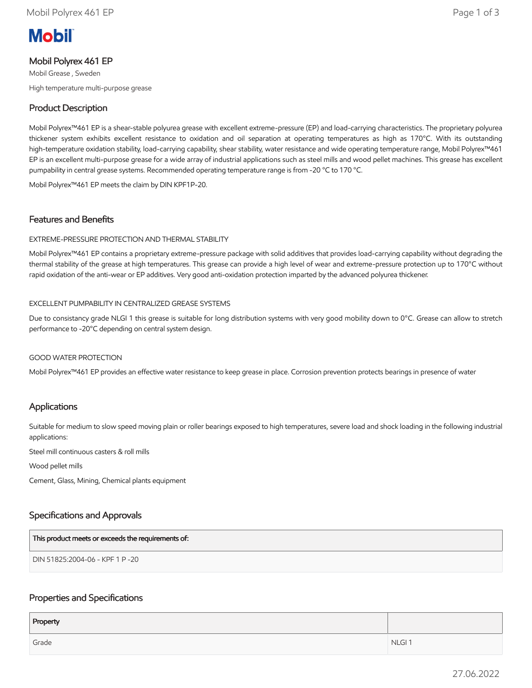# **Mobil**

## Mobil Polyrex 461 EP

Mobil Grease , Sweden High temperature multi-purpose grease

# Product Description

Mobil Polyrex™461 EP is a shear-stable polyurea grease with excellent extreme-pressure (EP) and load-carrying characteristics. The proprietary polyurea thickener system exhibits excellent resistance to oxidation and oil separation at operating temperatures as high as 170°C. With its outstanding high-temperature oxidation stability, load-carrying capability, shear stability, water resistance and wide operating temperature range, Mobil Polyrex™461 EP is an excellent multi-purpose grease for a wide array of industrial applications such as steel mills and wood pellet machines. This grease has excellent pumpability in central grease systems. Recommended operating temperature range is from -20 °C to 170 °C.

Mobil Polyrex™461 EP meets the claim by DIN KPF1P-20.

## Features and Benefits

#### EXTREME-PRESSURE PROTECTION AND THERMAL STABILITY

Mobil Polyrex™461 EP contains a proprietary extreme-pressure package with solid additives that provides load-carrying capability without degrading the thermal stability of the grease at high temperatures. This grease can provide a high level of wear and extreme-pressure protection up to 170°C without rapid oxidation of the anti-wear or EP additives. Very good anti-oxidation protection imparted by the advanced polyurea thickener.

#### EXCELLENT PUMPABILITY IN CENTRALIZED GREASE SYSTEMS

Due to consistancy grade NLGI 1 this grease is suitable for long distribution systems with very good mobility down to 0°C. Grease can allow to stretch performance to -20°C depending on central system design.

#### GOOD WATER PROTECTION

Mobil Polyrex™461 EP provides an effective water resistance to keep grease in place. Corrosion prevention protects bearings in presence of water

## Applications

Suitable for medium to slow speed moving plain or roller bearings exposed to high temperatures, severe load and shock loading in the following industrial applications:

Steel mill continuous casters & roll mills

Wood pellet mills

Cement, Glass, Mining, Chemical plants equipment

## Specifications and Approvals

| This product meets or exceeds the requirements of: |  |
|----------------------------------------------------|--|
| DIN 51825:2004-06 - KPF 1 P -20                    |  |

## Properties and Specifications

| Property |                   |
|----------|-------------------|
| Grade    | NLGI <sub>1</sub> |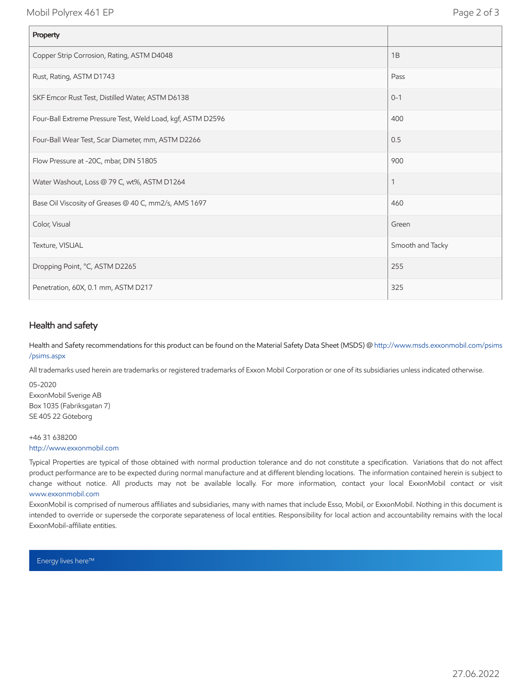Mobil Polyrex 461 EP Page 2 of 3

| Property                                                    |                  |
|-------------------------------------------------------------|------------------|
| Copper Strip Corrosion, Rating, ASTM D4048                  | 1B               |
| Rust, Rating, ASTM D1743                                    | Pass             |
| SKF Emcor Rust Test, Distilled Water, ASTM D6138            | $0 - 1$          |
| Four-Ball Extreme Pressure Test, Weld Load, kgf, ASTM D2596 | 400              |
| Four-Ball Wear Test, Scar Diameter, mm, ASTM D2266          | 0.5              |
| Flow Pressure at -20C, mbar, DIN 51805                      | 900              |
| Water Washout, Loss @ 79 C, wt%, ASTM D1264                 | 1                |
| Base Oil Viscosity of Greases @ 40 C, mm2/s, AMS 1697       | 460              |
| Color, Visual                                               | Green            |
| Texture, VISUAL                                             | Smooth and Tacky |
| Dropping Point, °C, ASTM D2265                              | 255              |
| Penetration, 60X, 0.1 mm, ASTM D217                         | 325              |

## Health and safety

Health and Safety recommendations for this product can be found on the Material Safety Data Sheet (MSDS) @ [http://www.msds.exxonmobil.com/psims](http://www.msds.exxonmobil.com/psims/psims.aspx) /psims.aspx

All trademarks used herein are trademarks or registered trademarks of Exxon Mobil Corporation or one of its subsidiaries unless indicated otherwise.

05-2020 ExxonMobil Sverige AB Box 1035 (Fabriksgatan 7) SE 405 22 Göteborg

#### +46 31 638200 [http://www.exxonmobil.com](http://www.exxonmobil.com/)

Typical Properties are typical of those obtained with normal production tolerance and do not constitute a specification. Variations that do not affect product performance are to be expected during normal manufacture and at different blending locations. The information contained herein is subject to change without notice. All products may not be available locally. For more information, contact your local ExxonMobil contact or visit [www.exxonmobil.com](http://www.exxonmobil.com/)

ExxonMobil is comprised of numerous affiliates and subsidiaries, many with names that include Esso, Mobil, or ExxonMobil. Nothing in this document is intended to override or supersede the corporate separateness of local entities. Responsibility for local action and accountability remains with the local ExxonMobil-affiliate entities.

Energy lives here™